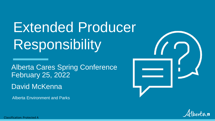Extended Producer Responsibility

Alberta Cares Spring Conference February 25, 2022

David McKenna

Alberta Environment and Parks





Classification: Protected A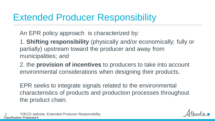## Extended Producer Responsibility

An EPR policy approach is characterized by:

1. **Shifting responsibility** (physically and/or economically; fully or partially) upstream toward the producer and away from municipalities; and

2. the **provision of incentives** to producers to take into account environmental considerations when designing their products.

EPR seeks to integrate signals related to the environmental characteristics of products and production processes throughout the product chain.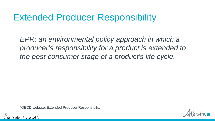## Extended Producer Responsibility

*EPR: an environmental policy approach in which a producer's responsibility for a product is extended to the post-consumer stage of a product's life cycle.* 

\*OECD website, Extended Producer Responsibility

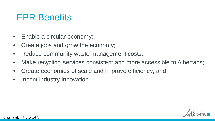## EPR Benefits

- Enable a circular economy;
- Create jobs and grow the economy;
- Reduce community waste management costs;
- Make recycling services consistent and more accessible to Albertans;
- Create economies of scale and improve efficiency; and
- Incent industry innovation

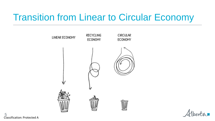## Transition from Linear to Circular Economy





Classification: Protected A 5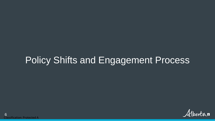## Policy Shifts and Engagement Process

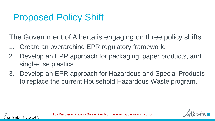# Proposed Policy Shift

Classification: Protected A

7

The Government of Alberta is engaging on three policy shifts:

- 1. Create an overarching EPR regulatory framework.
- 2. Develop an EPR approach for packaging, paper products, and single-use plastics.
- 3. Develop an EPR approach for Hazardous and Special Products to replace the current Household Hazardous Waste program.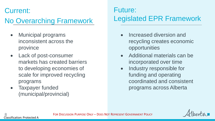#### Current:

## No Overarching Framework

- Municipal programs inconsistent across the province
- Lack of post-consumer markets has created barriers to developing economies of scale for improved recycling programs
- Taxpayer funded (municipal/provincial)

## Future: Legislated EPR Framework

- Increased diversion and recycling creates economic opportunities
- Additional materials can be incorporated over time
- Industry responsible for funding and operating coordinated and consistent programs across Alberta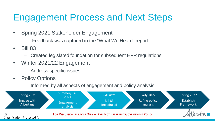# Engagement Process and Next Steps

- Spring 2021 Stakeholder Engagement
	- Feedback was captured in the "What We Heard" report.
- Bill 83
	- Created legislated foundation for subsequent EPR regulations.
- Winter 2021/22 Engagement
	- Address specific issues.
- Policy Options
	- Informed by all aspects of engagement and policy analysis.

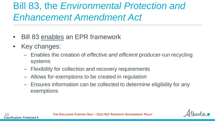# Bill 83, the *Environmental Protection and Enhancement Amendment Act*

- Bill 83 enables an EPR framework
- Key changes:
	- Enables the creation of *effective and efficient* producer-run recycling systems
	- Flexibility for collection and recovery requirements
	- Allows for exemptions to be created in regulation
	- Ensures information can be collected to determine eligibility for any exemptions